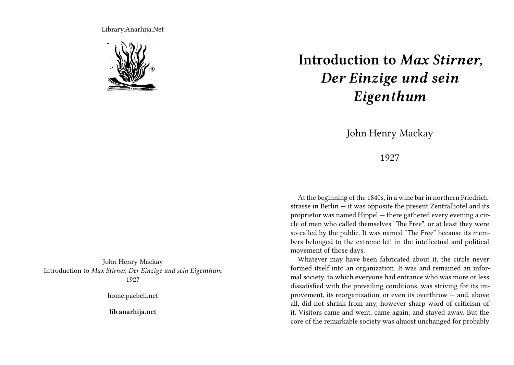Library.Anarhija.Net



John Henry Mackay Introduction to *Max Stirner, Der Einzige und sein Eigenthum* 1927

home.pacbell.net

**lib.anarhija.net**

## **Introduction to** *Max Stirner, Der Einzige und sein Eigenthum*

John Henry Mackay

1927

At the beginning of the 1840s, in a wine bar in northern Friedrichstrasse in Berlin  $-$  it was opposite the present Zentralhotel and its proprietor was named Hippel — there gathered every evening a circle of men who called themselves "The Free", or at least they were so-called by the public. It was named "The Free" because its members belonged to the extreme left in the intellectual and political movement of those days.

Whatever may have been fabricated about it, the circle never formed itself into an organization. It was and remained an informal society, to which everyone had entrance who was more or less dissatisfied with the prevailing conditions, was striving for its improvement, its reorganization, or even its overthrow — and, above all, did not shrink from any, however sharp word of criticism of it. Visitors came and went, came again, and stayed away. But the core of the remarkable society was almost unchanged for probably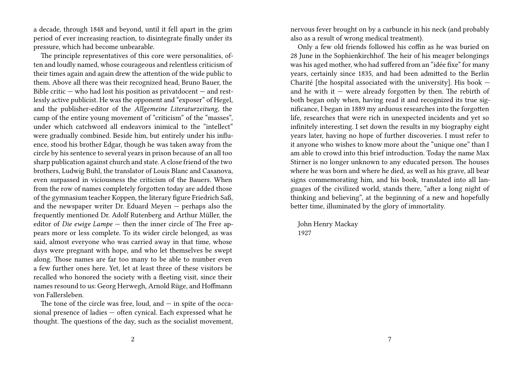a decade, through 1848 and beyond, until it fell apart in the grim period of ever increasing reaction, to disintegrate finally under its pressure, which had become unbearable.

The principle representatives of this core were personalities, often and loudly named, whose courageous and relentless criticism of their times again and again drew the attention of the wide public to them. Above all there was their recognized head, Bruno Bauer, the Bible critic  $-$  who had lost his position as privates domen  $-$  and restlessly active publicist. He was the opponent and "exposer" of Hegel, and the publisher-editor of the *Allgemeine Literaturzeitung*, the camp of the entire young movement of "criticism" of the "masses", under which catchword all endeavors inimical to the "intellect" were gradually combined. Beside him, but entirely under his influence, stood his brother Edgar, though he was taken away from the circle by his sentence to several years in prison because of an all too sharp publication against church and state. A close friend of the two brothers, Ludwig Buhl, the translator of Louis Blanc and Casanova, even surpassed in viciousness the criticism of the Bauers. When from the row of names completely forgotten today are added those of the gymnasium teacher Koppen, the literary figure Friedrich Saß, and the newspaper writer Dr. Eduard Meyen — perhaps also the frequently mentioned Dr. Adolf Rutenberg and Arthur Müller, the editor of *Die ewige Lampe* — then the inner circle of The Free appears more or less complete. To its wider circle belonged, as was said, almost everyone who was carried away in that time, whose days were pregnant with hope, and who let themselves be swept along. Those names are far too many to be able to number even a few further ones here. Yet, let at least three of these visitors be recalled who honored the society with a fleeting visit, since their names resound to us: Georg Herwegh, Arnold Rüge, and Hoffmann von Fallersleben.

The tone of the circle was free, loud, and  $-$  in spite of the occasional presence of ladies — often cynical. Each expressed what he thought. The questions of the day, such as the socialist movement,

nervous fever brought on by a carbuncle in his neck (and probably also as a result of wrong medical treatment).

Only a few old friends followed his coffin as he was buried on 28 June in the Sophienkirchhof. The heir of his meager belongings was his aged mother, who had suffered from an "idée fixe" for many years, certainly since 1835, and had been admitted to the Berlin Charité [the hospital associated with the university]. His book and he with it  $-$  were already forgotten by then. The rebirth of both began only when, having read it and recognized its true significance, I began in 1889 my arduous researches into the forgotten life, researches that were rich in unexpected incidents and yet so infinitely interesting. I set down the results in my biography eight years later, having no hope of further discoveries. I must refer to it anyone who wishes to know more about the "unique one" than I am able to crowd into this brief introduction. Today the name Max Stirner is no longer unknown to any educated person. The houses where he was born and where he died, as well as his grave, all bear signs commemorating him, and his book, translated into all languages of the civilized world, stands there, "after a long night of thinking and believing", at the beginning of a new and hopefully better time, illuminated by the glory of immortality.

John Henry Mackay 1927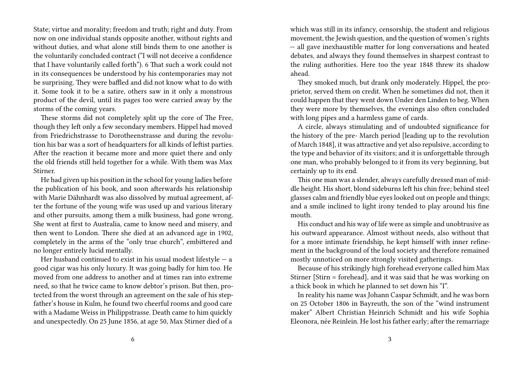State; virtue and morality; freedom and truth; right and duty. From now on one individual stands opposite another, without rights and without duties, and what alone still binds them to one another is the voluntarily concluded contract ("I will not deceive a confidence that I have voluntarily called forth"). 6 That such a work could not in its consequences be understood by his contemporaries may not be surprising. They were baffled and did not know what to do with it. Some took it to be a satire, others saw in it only a monstrous product of the devil, until its pages too were carried away by the storms of the coming years.

These storms did not completely split up the core of The Free, though they left only a few secondary members. Hippel had moved from Friedrichstrasse to Dorotheenstrasse and during the revolution his bar was a sort of headquarters for all kinds of leftist parties. After the reaction it became more and more quiet there and only the old friends still held together for a while. With them was Max Stirner.

He had given up his position in the school for young ladies before the publication of his book, and soon afterwards his relationship with Marie Dähnhardt was also dissolved by mutual agreement, after the fortune of the young wife was used up and various literary and other pursuits, among them a milk business, had gone wrong. She went at first to Australia, came to know need and misery, and then went to London. There she died at an advanced age in 1902, completely in the arms of the "only true church", embittered and no longer entirely lucid mentally.

Her husband continued to exist in his usual modest lifestyle  $-$  a good cigar was his only luxury. It was going badly for him too. He moved from one address to another and at times ran into extreme need, so that he twice came to know debtor's prison. But then, protected from the worst through an agreement on the sale of his stepfather's house in Kulm, he found two cheerful rooms and good care with a Madame Weiss in Philippstrasse. Death came to him quickly and unexpectedly. On 25 June 1856, at age 50, Max Stirner died of a

which was still in its infancy, censorship, the student and religious movement, the Jewish question, and the question of women's rights — all gave inexhaustible matter for long conversations and heated debates, and always they found themselves in sharpest contrast to the ruling authorities. Here too the year 1848 threw its shadow ahead.

They smoked much, but drank only moderately. Hippel, the proprietor, served them on credit. When he sometimes did not, then it could happen that they went down Under den Linden to beg. When they were more by themselves, the evenings also often concluded with long pipes and a harmless game of cards.

A circle, always stimulating and of undoubted significance for the history of the pre- March period [leading up to the revolution of March 1848], it was attractive and yet also repulsive, according to the type and behavior of its visitors; and it is unforgettable through one man, who probably belonged to it from its very beginning, but certainly up to its end.

This one man was a slender, always carefully dressed man of middle height. His short, blond sideburns left his chin free; behind steel glasses calm and friendly blue eyes looked out on people and things; and a smile inclined to light irony tended to play around his fine mouth.

His conduct and his way of life were as simple and unobtrusive as his outward appearance. Almost without needs, also without that for a more intimate friendship, he kept himself with inner refinement in the background of the loud society and therefore remained mostly unnoticed on more strongly visited gatherings.

Because of his strikingly high forehead everyone called him Max Stirner [Stirn = forehead], and it was said that he was working on a thick book in which he planned to set down his "I".

In reality his name was Johann Caspar Schmidt, and he was born on 25 October 1806 in Bayreuth, the son of the "wind instrument maker" Albert Christian Heinrich Schmidt and his wife Sophia Eleonora, née Reinlein. He lost his father early; after the remarriage